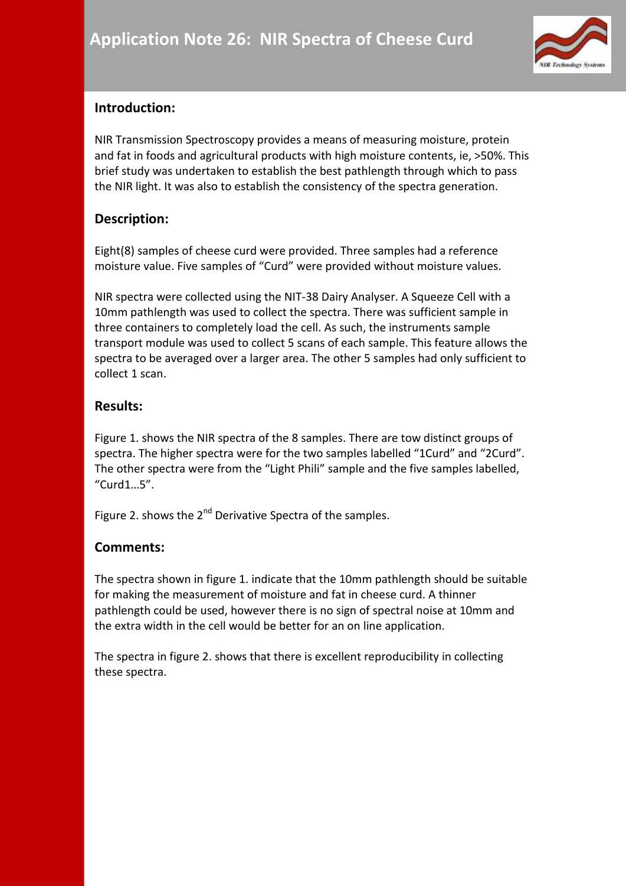

# **Introduction:**

NIR Transmission Spectroscopy provides a means of measuring moisture, protein and fat in foods and agricultural products with high moisture contents, ie, >50%. This brief study was undertaken to establish the best pathlength through which to pass the NIR light. It was also to establish the consistency of the spectra generation.

### **Description:**

Eight(8) samples of cheese curd were provided. Three samples had a reference moisture value. Five samples of "Curd" were provided without moisture values.

NIR spectra were collected using the NIT-38 Dairy Analyser. A Squeeze Cell with a 10mm pathlength was used to collect the spectra. There was sufficient sample in three containers to completely load the cell. As such, the instruments sample transport module was used to collect 5 scans of each sample. This feature allows the spectra to be averaged over a larger area. The other 5 samples had only sufficient to collect 1 scan.

#### **Results:**

Figure 1. shows the NIR spectra of the 8 samples. There are tow distinct groups of spectra. The higher spectra were for the two samples labelled "1Curd" and "2Curd". The other spectra were from the "Light Phili" sample and the five samples labelled, "Curd1…5".

Figure 2. shows the 2<sup>nd</sup> Derivative Spectra of the samples.

#### **Comments:**

The spectra shown in figure 1. indicate that the 10mm pathlength should be suitable for making the measurement of moisture and fat in cheese curd. A thinner pathlength could be used, however there is no sign of spectral noise at 10mm and the extra width in the cell would be better for an on line application.

The spectra in figure 2. shows that there is excellent reproducibility in collecting these spectra.